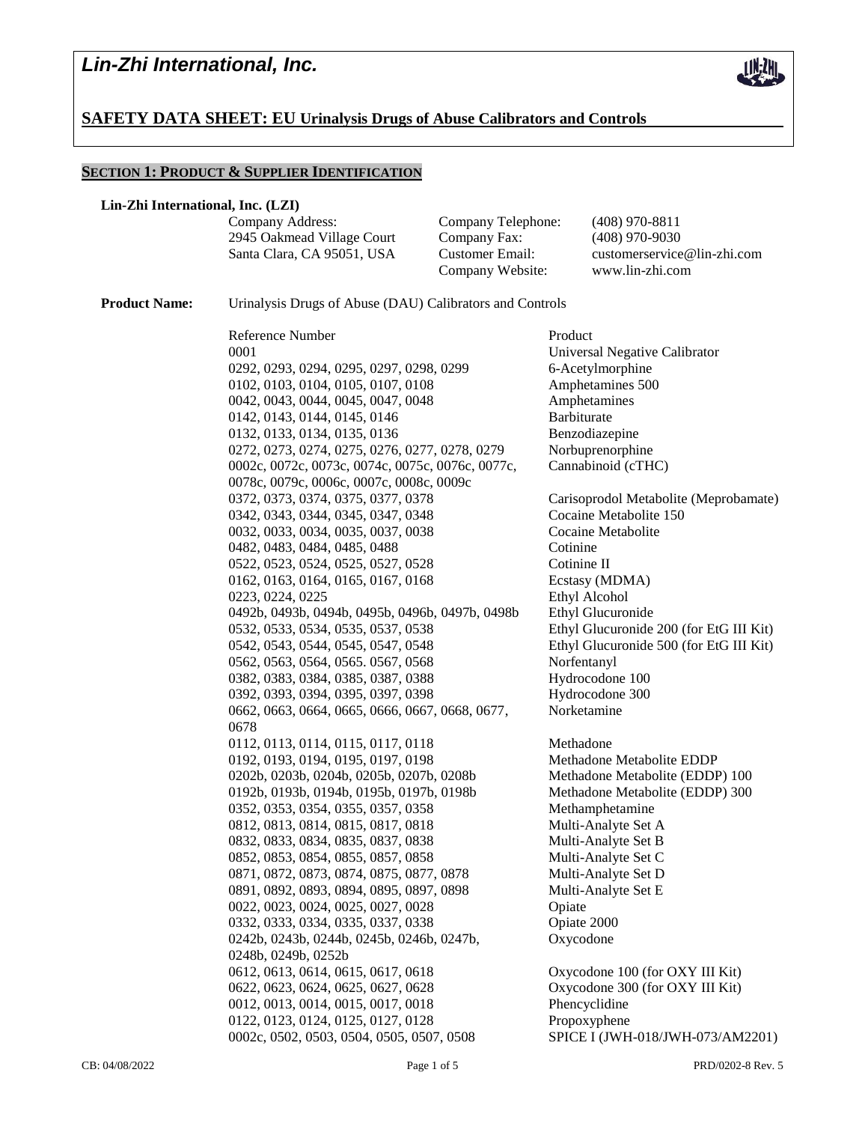

## **SAFETY DATA SHEET: EU Urinalysis Drugs of Abuse Calibrators and Controls**

## **SECTION 1: PRODUCT & SUPPLIER IDENTIFICATION**

#### **Lin-Zhi International, Inc. (LZI)**

Company Address: Company Telephone: (408) 970-8811 2945 Oakmead Village Court Company Fax: (408) 970-9030 Santa Clara, CA 95051, USA Customer Email: customerservice@lin-zhi.com Company Website: www.lin-zhi.com **Product Name:** Urinalysis Drugs of Abuse (DAU) Calibrators and Controls Reference Number Product 0001 Universal Negative Calibrator 0292, 0293, 0294, 0295, 0297, 0298, 0299 6-Acetylmorphine 0102, 0103, 0104, 0105, 0107, 0108 Amphetamines 500 0042, 0043, 0044, 0045, 0047, 0048 Amphetamines 0142, 0143, 0144, 0145, 0146 Barbiturate 0132, 0133, 0134, 0135, 0136 Benzodiazepine 0272, 0273, 0274, 0275, 0276, 0277, 0278, 0279 Norbuprenorphine 0002c, 0072c, 0073c, 0074c, 0075c, 0076c, 0077c, 0078c, 0079c, 0006c, 0007c, 0008c, 0009c Cannabinoid (cTHC) 0372, 0373, 0374, 0375, 0377, 0378 Carisoprodol Metabolite (Meprobamate) 0342, 0343, 0344, 0345, 0347, 0348 Cocaine Metabolite 150 0032, 0033, 0034, 0035, 0037, 0038 Cocaine Metabolite 0482, 0483, 0484, 0485, 0488 Cotinine 0522, 0523, 0524, 0525, 0527, 0528 Cotinine II 0162, 0163, 0164, 0165, 0167, 0168 Ecstasy (MDMA) 0223, 0224, 0225 Ethyl Alcohol 0492b, 0493b, 0494b, 0495b, 0496b, 0497b, 0498b Ethyl Glucuronide 0532, 0533, 0534, 0535, 0537, 0538 Ethyl Glucuronide 200 (for EtG III Kit) 0542, 0543, 0544, 0545, 0547, 0548 Ethyl Glucuronide 500 (for EtG III Kit) 0562, 0563, 0564, 0565. 0567, 0568 Norfentanyl 0382, 0383, 0384, 0385, 0387, 0388 Hydrocodone 100<br>0392, 0393, 0394, 0395, 0397, 0398 Hydrocodone 300 0392, 0393, 0394, 0395, 0397, 0398 0662, 0663, 0664, 0665, 0666, 0667, 0668, 0677, 0678 Norketamine 0112, 0113, 0114, 0115, 0117, 0118 Methadone 0192, 0193, 0194, 0195, 0197, 0198 Methadone Metabolite EDDP 0202b, 0203b, 0204b, 0205b, 0207b, 0208b Methadone Metabolite (EDDP) 100 0192b, 0193b, 0194b, 0195b, 0197b, 0198b Methadone Metabolite (EDDP) 300 0352, 0353, 0354, 0355, 0357, 0358 Methamphetamine 0812, 0813, 0814, 0815, 0817, 0818 Multi-Analyte Set A 0832, 0833, 0834, 0835, 0837, 0838 Multi-Analyte Set B 0852, 0853, 0854, 0855, 0857, 0858 Multi-Analyte Set C 0871, 0872, 0873, 0874, 0875, 0877, 0878 Multi-Analyte Set D 0891, 0892, 0893, 0894, 0895, 0897, 0898 Multi-Analyte Set E 0022, 0023, 0024, 0025, 0027, 0028 Opiate 0332, 0333, 0334, 0335, 0337, 0338 Opiate 2000 0242b, 0243b, 0244b, 0245b, 0246b, 0247b, 0248b, 0249b, 0252b Oxycodone 0612, 0613, 0614, 0615, 0617, 0618 Oxycodone 100 (for OXY III Kit) 0622, 0623, 0624, 0625, 0627, 0628 Oxycodone 300 (for OXY III Kit) 0012, 0013, 0014, 0015, 0017, 0018 Phencyclidine 0122, 0123, 0124, 0125, 0127, 0128 Propoxyphene 0002c, 0502, 0503, 0504, 0505, 0507, 0508 SPICE I (JWH-018/JWH-073/AM2201)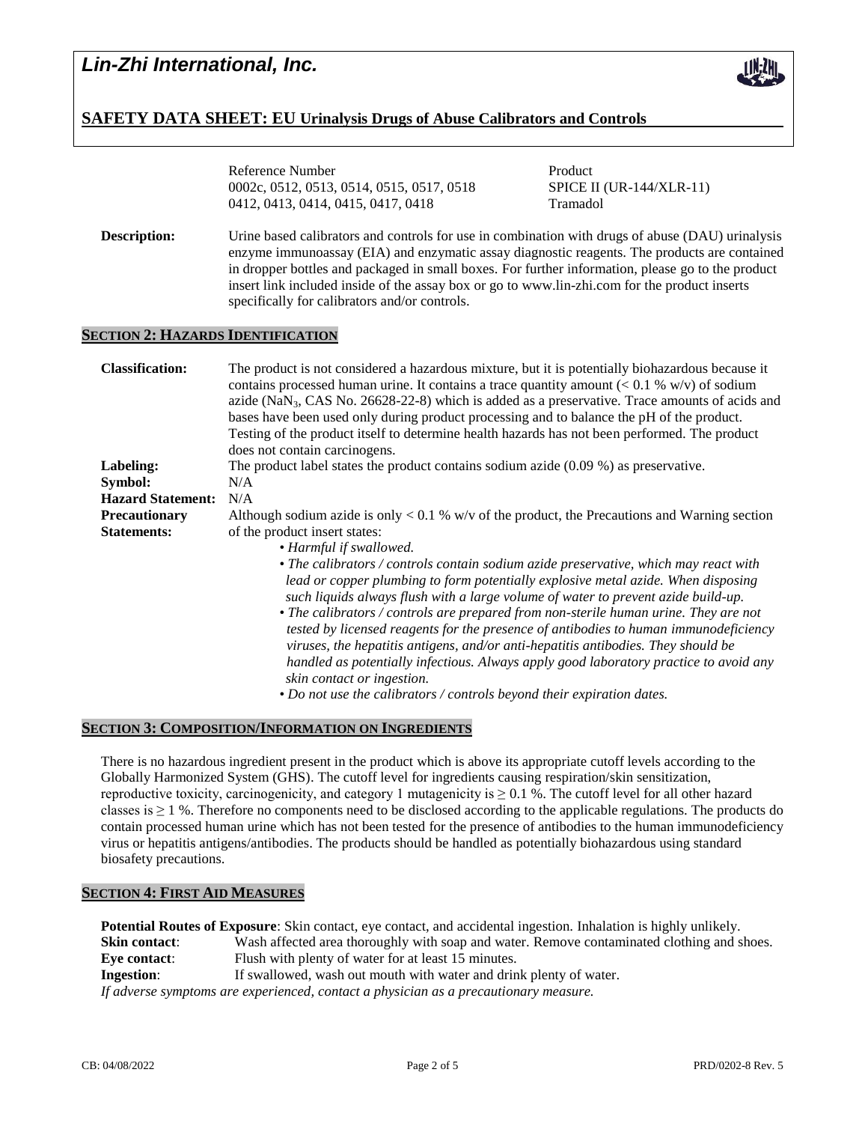

## **SAFETY DATA SHEET: EU Urinalysis Drugs of Abuse Calibrators and Controls**

|                                          | Reference Number<br>0002c, 0512, 0513, 0514, 0515, 0517, 0518                                                                                                                                                                                                                                                                                                                                                                                                                                                                                  | Product<br><b>SPICE II (UR-144/XLR-11)</b> |  |
|------------------------------------------|------------------------------------------------------------------------------------------------------------------------------------------------------------------------------------------------------------------------------------------------------------------------------------------------------------------------------------------------------------------------------------------------------------------------------------------------------------------------------------------------------------------------------------------------|--------------------------------------------|--|
|                                          | 0412, 0413, 0414, 0415, 0417, 0418                                                                                                                                                                                                                                                                                                                                                                                                                                                                                                             | Tramadol                                   |  |
| Description:                             | Urine based calibrators and controls for use in combination with drugs of abuse (DAU) urinalysis<br>enzyme immunoassay (EIA) and enzymatic assay diagnostic reagents. The products are contained<br>in dropper bottles and packaged in small boxes. For further information, please go to the product<br>insert link included inside of the assay box or go to www.lin-zhi.com for the product inserts<br>specifically for calibrators and/or controls.                                                                                        |                                            |  |
| <b>SECTION 2: HAZARDS IDENTIFICATION</b> |                                                                                                                                                                                                                                                                                                                                                                                                                                                                                                                                                |                                            |  |
| <b>Classification:</b>                   | The product is not considered a hazardous mixture, but it is potentially biohazardous because it<br>contains processed human urine. It contains a trace quantity amount ( $< 0.1$ % w/v) of sodium<br>azide ( $\text{NaN}_3$ , CAS No. 26628-22-8) which is added as a preservative. Trace amounts of acids and<br>bases have been used only during product processing and to balance the pH of the product.<br>Testing of the product itself to determine health hazards has not been performed. The product<br>does not contain carcinogens. |                                            |  |
| Labeling:                                | The product label states the product contains sodium azide $(0.09\%)$ as preservative.                                                                                                                                                                                                                                                                                                                                                                                                                                                         |                                            |  |
| Symbol:                                  | N/A                                                                                                                                                                                                                                                                                                                                                                                                                                                                                                                                            |                                            |  |
| <b>Hazard Statement:</b>                 | N/A                                                                                                                                                                                                                                                                                                                                                                                                                                                                                                                                            |                                            |  |
| <b>Precautionary</b>                     | Although sodium azide is only $< 0.1$ % w/v of the product, the Precautions and Warning section                                                                                                                                                                                                                                                                                                                                                                                                                                                |                                            |  |
| <b>Statements:</b>                       | of the product insert states:                                                                                                                                                                                                                                                                                                                                                                                                                                                                                                                  |                                            |  |

• *Harmful if swallowed.*

*lead or copper plumbing to form potentially explosive metal azide. When disposing such liquids always flush with a large volume of water to prevent azide build-up.* • *The calibrators / controls are prepared from non-sterile human urine. They are not tested by licensed reagents for the presence of antibodies to human immunodeficiency* 

• *The calibrators / controls contain sodium azide preservative, which may react with* 

- *viruses, the hepatitis antigens, and/or anti-hepatitis antibodies. They should be handled as potentially infectious. Always apply good laboratory practice to avoid any skin contact or ingestion.*
- *Do not use the calibrators / controls beyond their expiration dates.*

### **SECTION 3: COMPOSITION/INFORMATION ON INGREDIENTS**

There is no hazardous ingredient present in the product which is above its appropriate cutoff levels according to the Globally Harmonized System (GHS). The cutoff level for ingredients causing respiration/skin sensitization, reproductive toxicity, carcinogenicity, and category 1 mutagenicity is  $\geq 0.1$  %. The cutoff level for all other hazard classes is  $\geq 1$  %. Therefore no components need to be disclosed according to the applicable regulations. The products do contain processed human urine which has not been tested for the presence of antibodies to the human immunodeficiency virus or hepatitis antigens/antibodies. The products should be handled as potentially biohazardous using standard biosafety precautions.

### **SECTION 4: FIRST AID MEASURES**

**Potential Routes of Exposure**: Skin contact, eye contact, and accidental ingestion. Inhalation is highly unlikely. **Skin contact:** Wash affected area thoroughly with soap and water. Remove contaminated clothing and shoes. **Eye contact:** Flush with plenty of water for at least 15 minutes. **Ingestion:** If swallowed, wash out mouth with water and drink plenty of water. *If adverse symptoms are experienced, contact a physician as a precautionary measure.*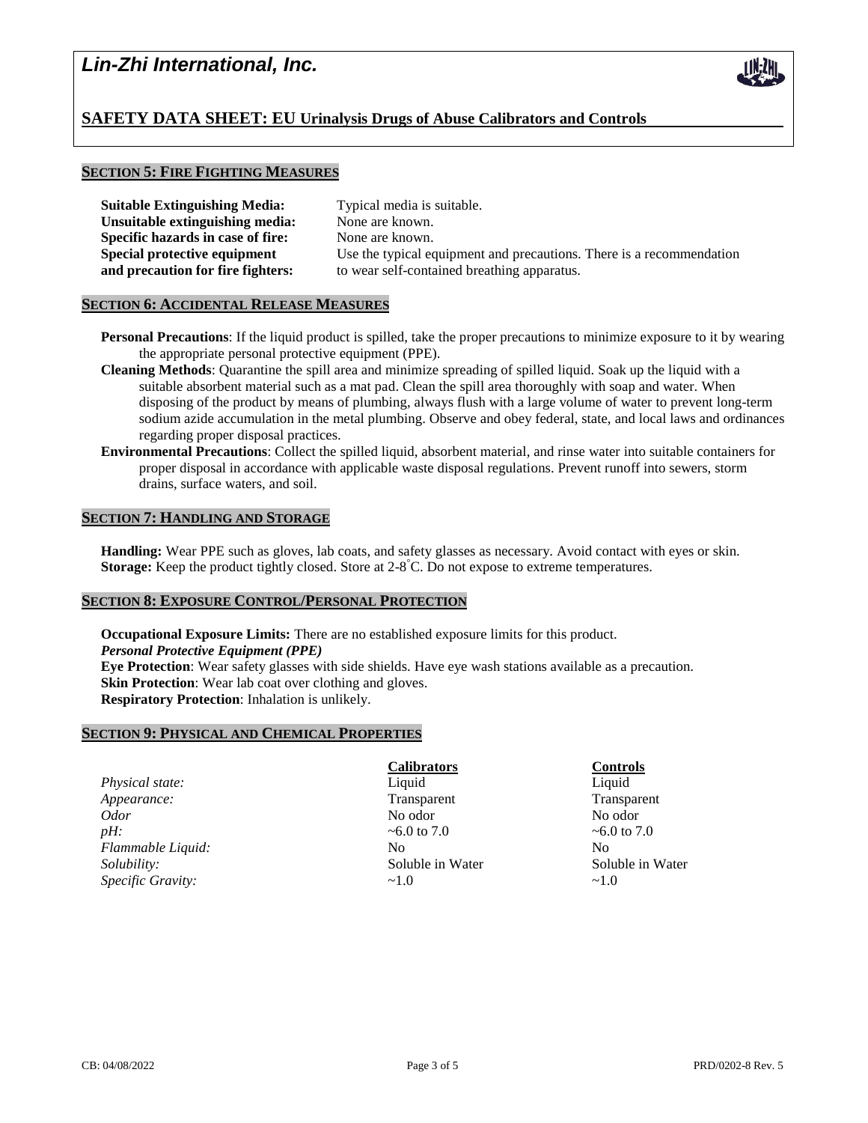

## **SECTION 5: FIRE FIGHTING MEASURES**

| <b>Suitable Extinguishing Media:</b> |
|--------------------------------------|
| Unsuitable extinguishing media:      |
| Specific hazards in case of fire:    |
| Special protective equipment         |
| and precaution for fire fighters:    |

Typical media is suitable. None are known. None are known. Use the typical equipment and precautions. There is a recommendation to wear self-contained breathing apparatus.

## **SECTION 6: ACCIDENTAL RELEASE MEASURES**

- **Personal Precautions**: If the liquid product is spilled, take the proper precautions to minimize exposure to it by wearing the appropriate personal protective equipment (PPE).
- **Cleaning Methods**: Quarantine the spill area and minimize spreading of spilled liquid. Soak up the liquid with a suitable absorbent material such as a mat pad. Clean the spill area thoroughly with soap and water. When disposing of the product by means of plumbing, always flush with a large volume of water to prevent long-term sodium azide accumulation in the metal plumbing. Observe and obey federal, state, and local laws and ordinances regarding proper disposal practices.
- **Environmental Precautions**: Collect the spilled liquid, absorbent material, and rinse water into suitable containers for proper disposal in accordance with applicable waste disposal regulations. Prevent runoff into sewers, storm drains, surface waters, and soil.

## **SECTION 7: HANDLING AND STORAGE**

**Handling:** Wear PPE such as gloves, lab coats, and safety glasses as necessary. Avoid contact with eyes or skin. Storage: Keep the product tightly closed. Store at 2-8<sup>°</sup>C. Do not expose to extreme temperatures.

## **SECTION 8: EXPOSURE CONTROL/PERSONAL PROTECTION**

**Occupational Exposure Limits:** There are no established exposure limits for this product. *Personal Protective Equipment (PPE)* **Eye Protection**: Wear safety glasses with side shields. Have eye wash stations available as a precaution. **Skin Protection**: Wear lab coat over clothing and gloves. **Respiratory Protection**: Inhalation is unlikely.

## **SECTION 9: PHYSICAL AND CHEMICAL PROPERTIES**

| Transparer        |
|-------------------|
| No odor           |
| $\sim 6.0$ to 7.0 |
|                   |
| Soluble in        |
|                   |
| $\sim$ 1.0        |

## **Calibrators Controls**

**Transparent Transparent Soluble in Water Soluble in Water** Soluble in Water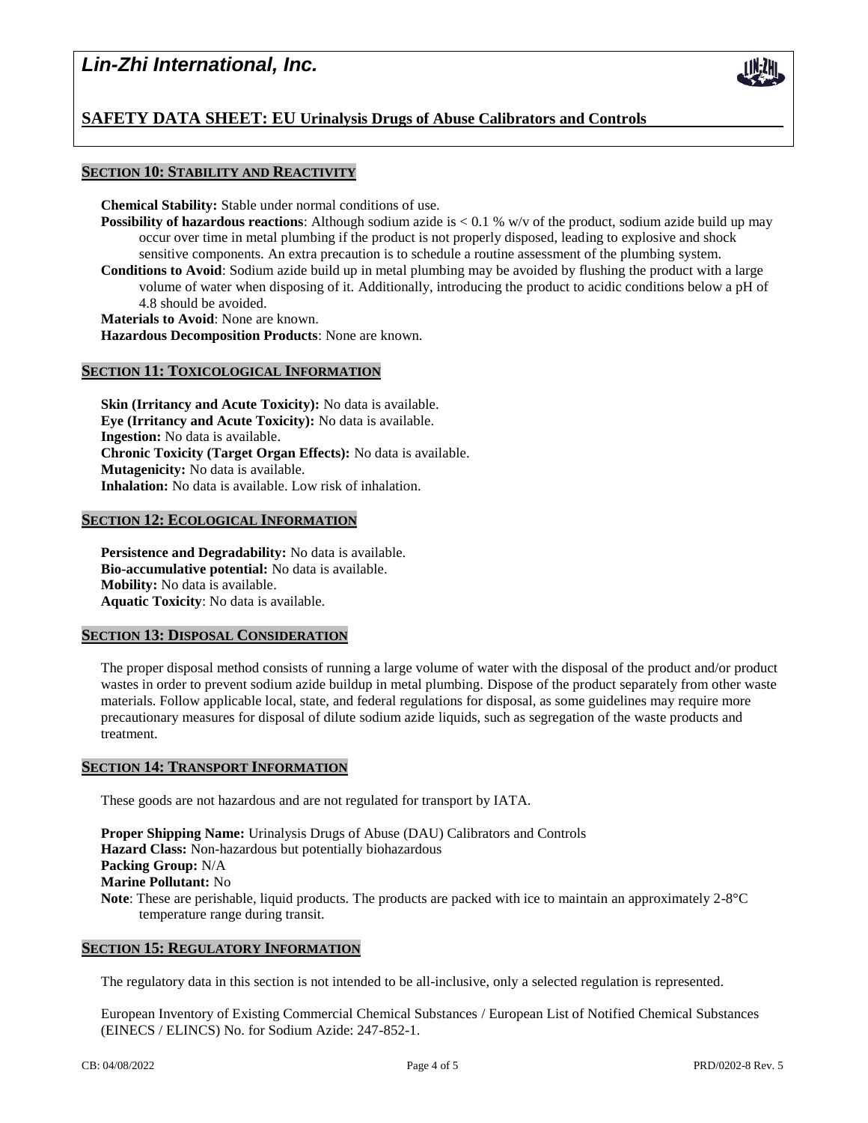# *Lin-Zhi International, Inc.*



## **SECTION 10: STABILITY AND REACTIVITY**

**Chemical Stability:** Stable under normal conditions of use.

- **Possibility of hazardous reactions**: Although sodium azide is  $< 0.1$  % w/v of the product, sodium azide build up may occur over time in metal plumbing if the product is not properly disposed, leading to explosive and shock sensitive components. An extra precaution is to schedule a routine assessment of the plumbing system.
- **Conditions to Avoid**: Sodium azide build up in metal plumbing may be avoided by flushing the product with a large volume of water when disposing of it. Additionally, introducing the product to acidic conditions below a pH of 4.8 should be avoided.

**Materials to Avoid**: None are known.

**Hazardous Decomposition Products**: None are known.

### **SECTION 11: TOXICOLOGICAL INFORMATION**

**Skin (Irritancy and Acute Toxicity):** No data is available. **Eye (Irritancy and Acute Toxicity):** No data is available. **Ingestion:** No data is available. **Chronic Toxicity (Target Organ Effects):** No data is available. **Mutagenicity:** No data is available. **Inhalation:** No data is available. Low risk of inhalation.

## **SECTION 12: ECOLOGICAL INFORMATION**

**Persistence and Degradability:** No data is available. **Bio-accumulative potential:** No data is available. **Mobility:** No data is available. **Aquatic Toxicity**: No data is available.

### **SECTION 13: DISPOSAL CONSIDERATION**

The proper disposal method consists of running a large volume of water with the disposal of the product and/or product wastes in order to prevent sodium azide buildup in metal plumbing. Dispose of the product separately from other waste materials. Follow applicable local, state, and federal regulations for disposal, as some guidelines may require more precautionary measures for disposal of dilute sodium azide liquids, such as segregation of the waste products and treatment.

### **SECTION 14: TRANSPORT INFORMATION**

These goods are not hazardous and are not regulated for transport by IATA.

**Proper Shipping Name:** Urinalysis Drugs of Abuse (DAU) Calibrators and Controls **Hazard Class:** Non-hazardous but potentially biohazardous **Packing Group:** N/A **Marine Pollutant:** No **Note**: These are perishable, liquid products. The products are packed with ice to maintain an approximately 2-8°C temperature range during transit.

#### **SECTION 15: REGULATORY INFORMATION**

The regulatory data in this section is not intended to be all-inclusive, only a selected regulation is represented.

European Inventory of Existing Commercial Chemical Substances / European List of Notified Chemical Substances (EINECS / ELINCS) No. for Sodium Azide: 247-852-1.